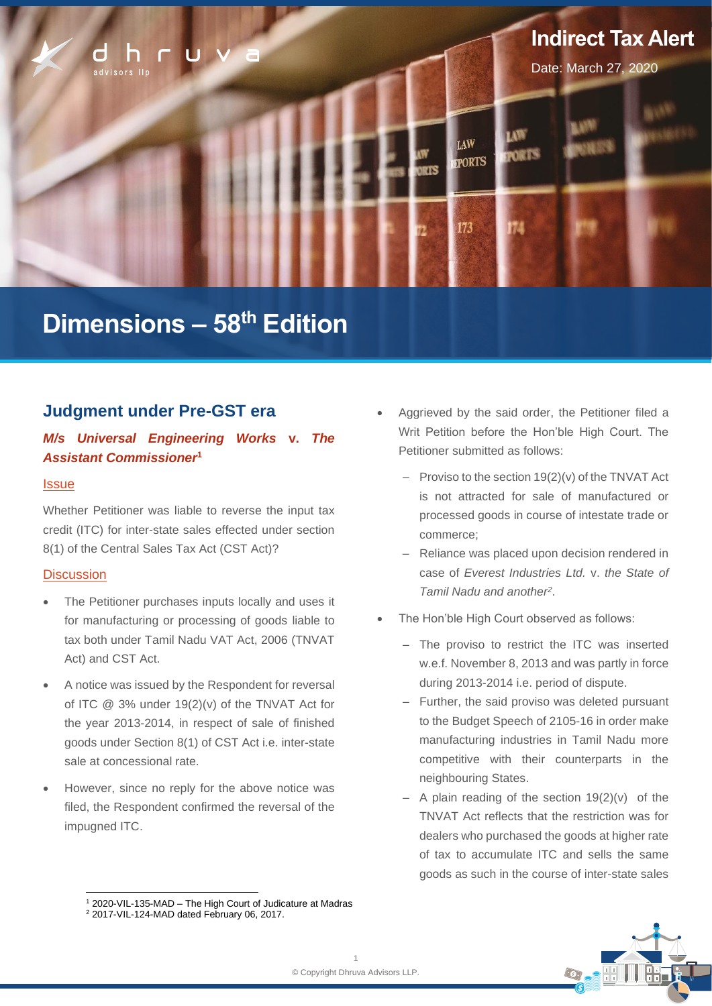

# **Dimensions – 58 th Edition**

# **Judgment under Pre-GST era**

## *M/s Universal Engineering Works* **v.** *The Assistant Commissioner***<sup>1</sup>**

#### **Issue**

Whether Petitioner was liable to reverse the input tax credit (ITC) for inter-state sales effected under section 8(1) of the Central Sales Tax Act (CST Act)?

#### **Discussion**

- The Petitioner purchases inputs locally and uses it for manufacturing or processing of goods liable to tax both under Tamil Nadu VAT Act, 2006 (TNVAT Act) and CST Act.
- A notice was issued by the Respondent for reversal of ITC @ 3% under 19(2)(v) of the TNVAT Act for the year 2013-2014, in respect of sale of finished goods under Section 8(1) of CST Act i.e. inter-state sale at concessional rate.
- However, since no reply for the above notice was filed, the Respondent confirmed the reversal of the impugned ITC.
- Aggrieved by the said order, the Petitioner filed a Writ Petition before the Hon'ble High Court. The Petitioner submitted as follows:
	- $-$  Proviso to the section 19(2)(v) of the TNVAT Act is not attracted for sale of manufactured or processed goods in course of intestate trade or commerce;
	- ‒ Reliance was placed upon decision rendered in case of *Everest Industries Ltd.* v. *the State of Tamil Nadu and another<sup>2</sup>* .
- The Hon'ble High Court observed as follows:
	- ‒ The proviso to restrict the ITC was inserted w.e.f. November 8, 2013 and was partly in force during 2013-2014 i.e. period of dispute.
	- ‒ Further, the said proviso was deleted pursuant to the Budget Speech of 2105-16 in order make manufacturing industries in Tamil Nadu more competitive with their counterparts in the neighbouring States.
	- $-$  A plain reading of the section 19(2)(v) of the TNVAT Act reflects that the restriction was for dealers who purchased the goods at higher rate of tax to accumulate ITC and sells the same goods as such in the course of inter-state sales

<sup>1</sup> 2020-VIL-135-MAD – The High Court of Judicature at Madras <sup>2</sup> 2017-VIL-124-MAD dated February 06, 2017.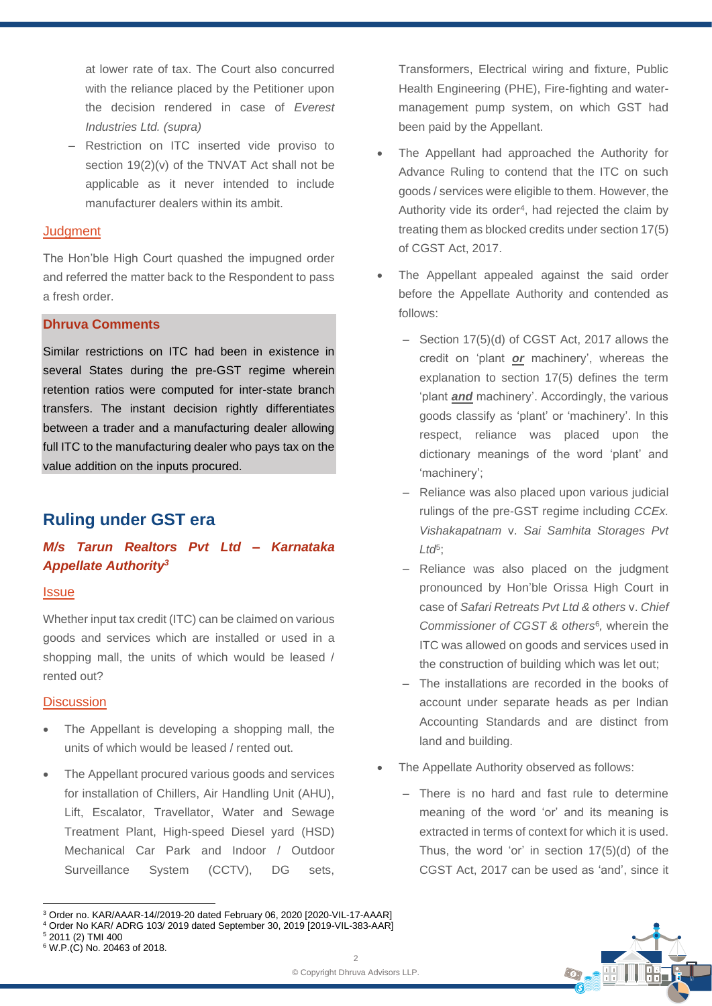at lower rate of tax. The Court also concurred with the reliance placed by the Petitioner upon the decision rendered in case of *Everest Industries Ltd. (supra)*

‒ Restriction on ITC inserted vide proviso to section 19(2)(v) of the TNVAT Act shall not be applicable as it never intended to include manufacturer dealers within its ambit.

### **Judgment**

The Hon'ble High Court quashed the impugned order and referred the matter back to the Respondent to pass a fresh order.

## **Dhruva Comments**

Similar restrictions on ITC had been in existence in several States during the pre-GST regime wherein retention ratios were computed for inter-state branch transfers. The instant decision rightly differentiates between a trader and a manufacturing dealer allowing full ITC to the manufacturing dealer who pays tax on the value addition on the inputs procured.

# **Ruling under GST era**

## *M/s Tarun Realtors Pvt Ltd – Karnataka Appellate Authority<sup>3</sup>*

#### **Issue**

Whether input tax credit (ITC) can be claimed on various goods and services which are installed or used in a shopping mall, the units of which would be leased / rented out?

#### **Discussion**

- The Appellant is developing a shopping mall, the units of which would be leased / rented out.
- The Appellant procured various goods and services for installation of Chillers, Air Handling Unit (AHU), Lift, Escalator, Travellator, Water and Sewage Treatment Plant, High-speed Diesel yard (HSD) Mechanical Car Park and Indoor / Outdoor Surveillance System (CCTV), DG sets,

Transformers, Electrical wiring and fixture, Public Health Engineering (PHE), Fire-fighting and watermanagement pump system, on which GST had been paid by the Appellant.

- The Appellant had approached the Authority for Advance Ruling to contend that the ITC on such goods / services were eligible to them. However, the Authority vide its order<sup>4</sup>, had rejected the claim by treating them as blocked credits under section 17(5) of CGST Act, 2017.
- The Appellant appealed against the said order before the Appellate Authority and contended as follows:
	- Section 17(5)(d) of CGST Act, 2017 allows the credit on 'plant *or* machinery', whereas the explanation to section 17(5) defines the term 'plant *and* machinery'. Accordingly, the various goods classify as 'plant' or 'machinery'. In this respect, reliance was placed upon the dictionary meanings of the word 'plant' and 'machinery';
	- Reliance was also placed upon various judicial rulings of the pre-GST regime including *CCEx. Vishakapatnam* v. *Sai Samhita Storages Pvt Ltd*<sup>5</sup> ;
	- Reliance was also placed on the judgment pronounced by Hon'ble Orissa High Court in case of *Safari Retreats Pvt Ltd & others* v. *Chief Commissioner of CGST & others*<sup>6</sup> *,* wherein the ITC was allowed on goods and services used in the construction of building which was let out;
	- ‒ The installations are recorded in the books of account under separate heads as per Indian Accounting Standards and are distinct from land and building.
- The Appellate Authority observed as follows:
	- ‒ There is no hard and fast rule to determine meaning of the word 'or' and its meaning is extracted in terms of context for which it is used. Thus, the word 'or' in section 17(5)(d) of the CGST Act, 2017 can be used as 'and', since it

<sup>4</sup> Order No KAR/ ADRG 103/ 2019 dated September 30, 2019 [2019-VIL-383-AAR]



<sup>3</sup> Order no. KAR/AAAR-14//2019-20 dated February 06, 2020 [2020-VIL-17-AAAR]

<sup>5</sup> 2011 (2) TMI 400

<sup>6</sup> W.P.(C) No. 20463 of 2018.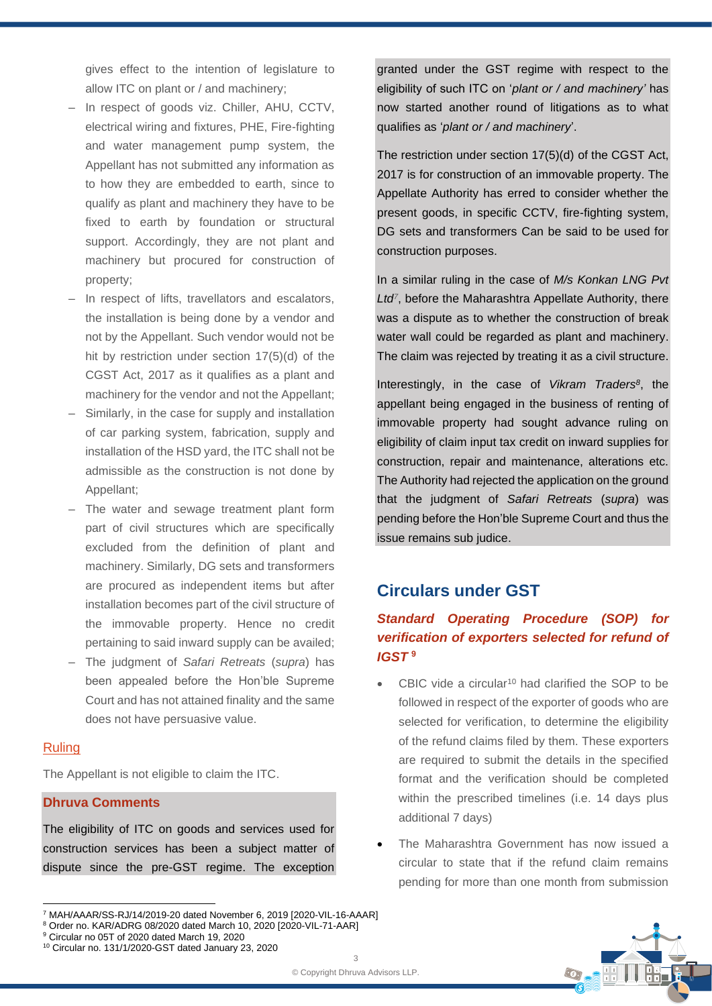gives effect to the intention of legislature to allow ITC on plant or / and machinery;

- ‒ In respect of goods viz. Chiller, AHU, CCTV, electrical wiring and fixtures, PHE, Fire-fighting and water management pump system, the Appellant has not submitted any information as to how they are embedded to earth, since to qualify as plant and machinery they have to be fixed to earth by foundation or structural support. Accordingly, they are not plant and machinery but procured for construction of property;
- In respect of lifts, travellators and escalators, the installation is being done by a vendor and not by the Appellant. Such vendor would not be hit by restriction under section 17(5)(d) of the CGST Act, 2017 as it qualifies as a plant and machinery for the vendor and not the Appellant;
- Similarly, in the case for supply and installation of car parking system, fabrication, supply and installation of the HSD yard, the ITC shall not be admissible as the construction is not done by Appellant;
- The water and sewage treatment plant form part of civil structures which are specifically excluded from the definition of plant and machinery. Similarly, DG sets and transformers are procured as independent items but after installation becomes part of the civil structure of the immovable property. Hence no credit pertaining to said inward supply can be availed;
- ‒ The judgment of *Safari Retreats* (*supra*) has been appealed before the Hon'ble Supreme Court and has not attained finality and the same does not have persuasive value.

#### Ruling

The Appellant is not eligible to claim the ITC.

## **Dhruva Comments**

The eligibility of ITC on goods and services used for construction services has been a subject matter of dispute since the pre-GST regime. The exception

<sup>10</sup> Circular no. 131/1/2020-GST dated January 23, 2020

granted under the GST regime with respect to the eligibility of such ITC on '*plant or / and machinery'* has now started another round of litigations as to what qualifies as '*plant or / and machinery*'.

The restriction under section 17(5)(d) of the CGST Act, 2017 is for construction of an immovable property. The Appellate Authority has erred to consider whether the present goods, in specific CCTV, fire-fighting system, DG sets and transformers Can be said to be used for construction purposes.

In a similar ruling in the case of *M/s Konkan LNG Pvt Ltd<sup>7</sup>* , before the Maharashtra Appellate Authority, there was a dispute as to whether the construction of break water wall could be regarded as plant and machinery. The claim was rejected by treating it as a civil structure.

Interestingly, in the case of *Vikram Traders<sup>8</sup>* , the appellant being engaged in the business of renting of immovable property had sought advance ruling on eligibility of claim input tax credit on inward supplies for construction, repair and maintenance, alterations etc. The Authority had rejected the application on the ground that the judgment of *Safari Retreats* (*supra*) was pending before the Hon'ble Supreme Court and thus the issue remains sub judice.

## **Circulars under GST**

## *Standard Operating Procedure (SOP) for verification of exporters selected for refund of IGST* **<sup>9</sup>**

- CBIC vide a circular<sup>10</sup> had clarified the SOP to be followed in respect of the exporter of goods who are selected for verification, to determine the eligibility of the refund claims filed by them. These exporters are required to submit the details in the specified format and the verification should be completed within the prescribed timelines (i.e. 14 days plus additional 7 days)
- The Maharashtra Government has now issued a circular to state that if the refund claim remains pending for more than one month from submission



<sup>7</sup> MAH/AAAR/SS-RJ/14/2019-20 dated November 6, 2019 [2020-VIL-16-AAAR]

<sup>8</sup> Order no. KAR/ADRG 08/2020 dated March 10, 2020 [2020-VIL-71-AAR]

<sup>9</sup> Circular no 05T of 2020 dated March 19, 2020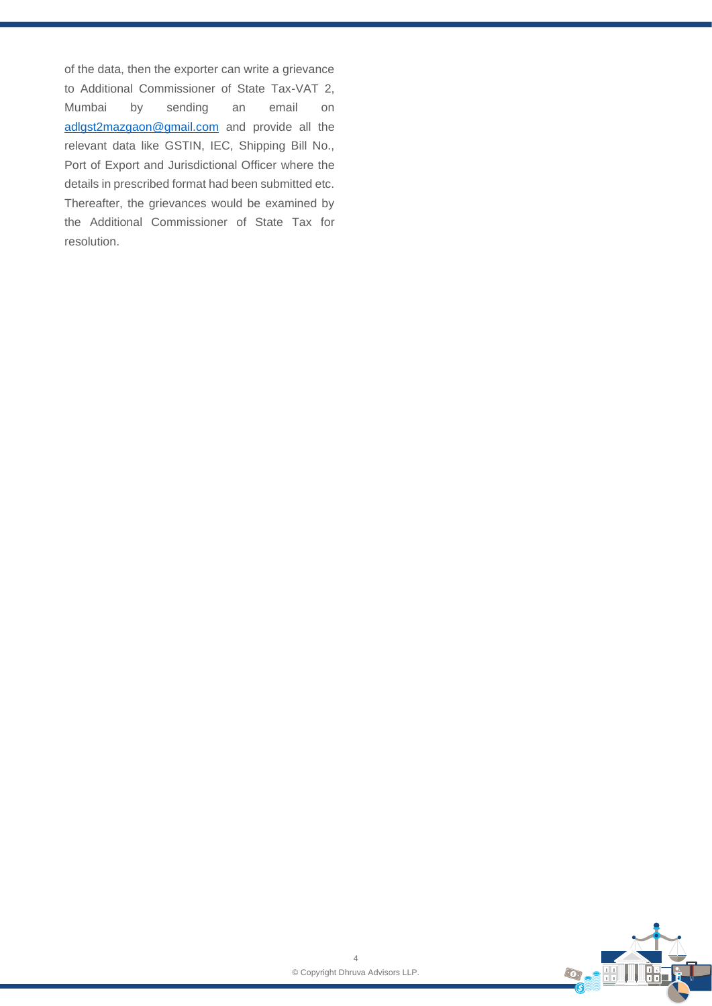of the data, then the exporter can write a grievance to Additional Commissioner of State Tax-VAT 2, Mumbai by sending an email on [adlgst2mazgaon@gmail.com](mailto:adlgst2mazgaon@gmail.com) and provide all the relevant data like GSTIN, IEC, Shipping Bill No., Port of Export and Jurisdictional Officer where the details in prescribed format had been submitted etc. Thereafter, the grievances would be examined by the Additional Commissioner of State Tax for resolution.